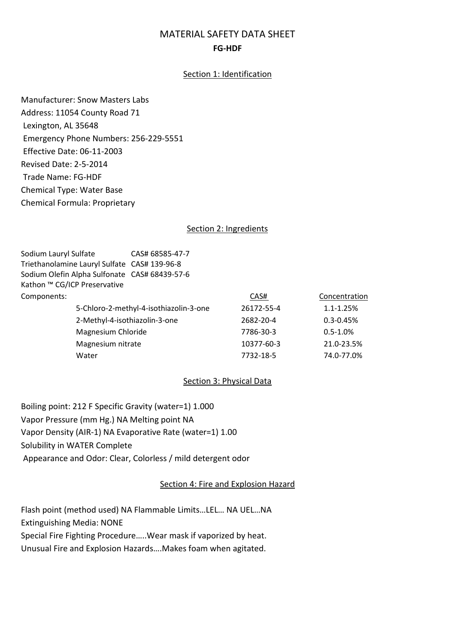# MATERIAL SAFETY DATA SHEET FG-HDF

### Section 1: Identification

Manufacturer: Snow Masters Labs Address: 11054 County Road 71 Lexington, AL 35648 Emergency Phone Numbers: 256-229-5551 Effective Date: 06-11-2003 Revised Date: 2-5-2014 Trade Name: FG-HDF Chemical Type: Water Base Chemical Formula: Proprietary

#### Section 2: Ingredients

| Sodium Lauryl Sulfate                         | CAS# 68585-47-7 |            |               |
|-----------------------------------------------|-----------------|------------|---------------|
| Triethanolamine Lauryl Sulfate CAS# 139-96-8  |                 |            |               |
| Sodium Olefin Alpha Sulfonate CAS# 68439-57-6 |                 |            |               |
| Kathon ™ CG/ICP Preservative                  |                 |            |               |
| Components:                                   |                 | CAS#       | Concentration |
| 5-Chloro-2-methyl-4-isothiazolin-3-one        |                 | 26172-55-4 | 1.1-1.25%     |
| 2-Methyl-4-isothiazolin-3-one                 |                 | 2682-20-4  | $0.3 - 0.45%$ |
| Magnesium Chloride                            |                 | 7786-30-3  | $0.5 - 1.0\%$ |
| Magnesium nitrate                             |                 | 10377-60-3 | 21.0-23.5%    |
| Water                                         |                 | 7732-18-5  | 74.0-77.0%    |
|                                               |                 |            |               |

### Section 3: Physical Data

Boiling point: 212 F Specific Gravity (water=1) 1.000 Vapor Pressure (mm Hg.) NA Melting point NA Vapor Density (AIR-1) NA Evaporative Rate (water=1) 1.00 Solubility in WATER Complete Appearance and Odor: Clear, Colorless / mild detergent odor

#### Section 4: Fire and Explosion Hazard

Flash point (method used) NA Flammable Limits…LEL… NA UEL…NA Extinguishing Media: NONE Special Fire Fighting Procedure…..Wear mask if vaporized by heat. Unusual Fire and Explosion Hazards….Makes foam when agitated.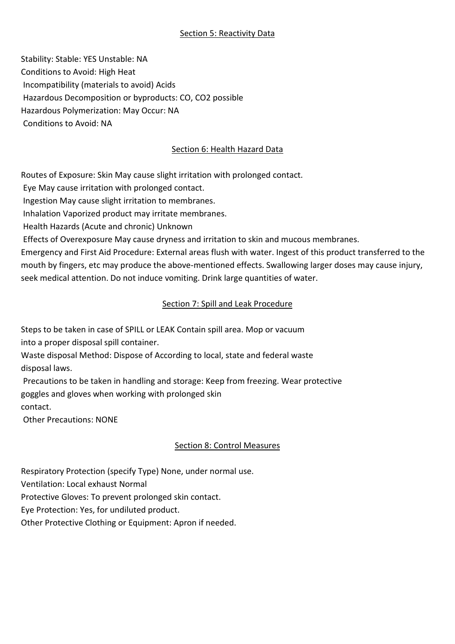### Section 5: Reactivity Data

Stability: Stable: YES Unstable: NA Conditions to Avoid: High Heat Incompatibility (materials to avoid) Acids Hazardous Decomposition or byproducts: CO, CO2 possible Hazardous Polymerization: May Occur: NA Conditions to Avoid: NA

### Section 6: Health Hazard Data

Routes of Exposure: Skin May cause slight irritation with prolonged contact.

Eye May cause irritation with prolonged contact.

Ingestion May cause slight irritation to membranes.

Inhalation Vaporized product may irritate membranes.

Health Hazards (Acute and chronic) Unknown

Effects of Overexposure May cause dryness and irritation to skin and mucous membranes.

Emergency and First Aid Procedure: External areas flush with water. Ingest of this product transferred to the mouth by fingers, etc may produce the above-mentioned effects. Swallowing larger doses may cause injury, seek medical attention. Do not induce vomiting. Drink large quantities of water.

### Section 7: Spill and Leak Procedure

Steps to be taken in case of SPILL or LEAK Contain spill area. Mop or vacuum into a proper disposal spill container.

Waste disposal Method: Dispose of According to local, state and federal waste disposal laws.

 Precautions to be taken in handling and storage: Keep from freezing. Wear protective goggles and gloves when working with prolonged skin contact.

Other Precautions: NONE

# Section 8: Control Measures

Respiratory Protection (specify Type) None, under normal use.

Ventilation: Local exhaust Normal

Protective Gloves: To prevent prolonged skin contact.

Eye Protection: Yes, for undiluted product.

Other Protective Clothing or Equipment: Apron if needed.